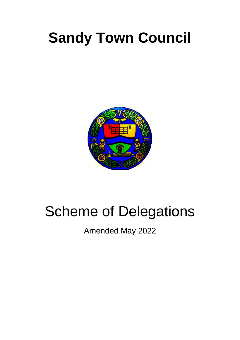# **Sandy Town Council**



# Scheme of Delegations

Amended May 2022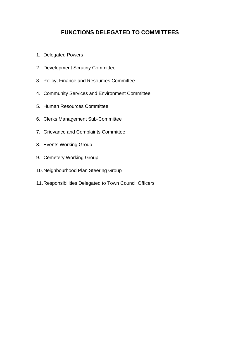## **FUNCTIONS DELEGATED TO COMMITTEES**

- 1. Delegated Powers
- 2. Development Scrutiny Committee
- 3. Policy, Finance and Resources Committee
- 4. Community Services and Environment Committee
- 5. Human Resources Committee
- 6. Clerks Management Sub-Committee
- 7. Grievance and Complaints Committee
- 8. Events Working Group
- 9. Cemetery Working Group
- 10.Neighbourhood Plan Steering Group
- 11.Responsibilities Delegated to Town Council Officers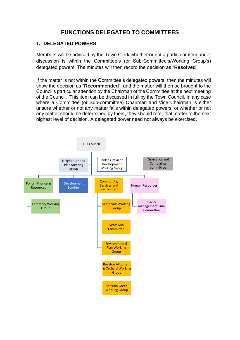## **FUNCTIONS DELEGATED TO COMMITTEES**

## **1. DELEGATED POWERS**

Members will be advised by the Town Clerk whether or not a particular item under discussion is within the Committee's (or Sub-Committee's/Working Group's) delegated powers. The minutes will then record the decision as "**Resolved**".

If the matter is not within the Committee's delegated powers, then the minutes will show the decision as "**Recommended**", and the matter will then be brought to the Council's particular attention by the Chairman of the Committee at the next meeting of the Council. This item can be discussed in full by the Town Council. In any case where a Committee (or Sub-committee) Chairman and Vice Chairman is either unsure whether or not any matter falls within delegated powers, or whether or not any matter should be determined by them, they should refer that matter to the next highest level of decision. A delegated power need not always be exercised.

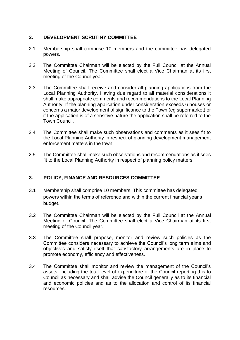## **2. DEVELOPMENT SCRUTINY COMMITTEE**

- 2.1 Membership shall comprise 10 members and the committee has delegated powers.
- 2.2 The Committee Chairman will be elected by the Full Council at the Annual Meeting of Council. The Committee shall elect a Vice Chairman at its first meeting of the Council year.
- 2.3 The Committee shall receive and consider all planning applications from the Local Planning Authority. Having due regard to all material considerations it shall make appropriate comments and recommendations to the Local Planning Authority. If the planning application under consideration exceeds 6 houses or concerns a major development of significance to the Town (eg supermarket) or if the application is of a sensitive nature the application shall be referred to the Town Council.
- 2.4 The Committee shall make such observations and comments as it sees fit to the Local Planning Authority in respect of planning development management enforcement matters in the town.
- 2.5 The Committee shall make such observations and recommendations as it sees fit to the Local Planning Authority in respect of planning policy matters.

## **3. POLICY, FINANCE AND RESOURCES COMMITTEE**

- 3.1 Membership shall comprise 10 members. This committee has delegated powers within the terms of reference and within the current financial year's budget.
- 3.2 The Committee Chairman will be elected by the Full Council at the Annual Meeting of Council. The Committee shall elect a Vice Chairman at its first meeting of the Council year.
- 3.3 The Committee shall propose, monitor and review such policies as the Committee considers necessary to achieve the Council's long term aims and objectives and satisfy itself that satisfactory arrangements are in place to promote economy, efficiency and effectiveness.
- 3.4 The Committee shall monitor and review the management of the Council's assets, including the total level of expenditure of the Council reporting this to Council as necessary and shall advise the Council generally as to its financial and economic policies and as to the allocation and control of its financial resources.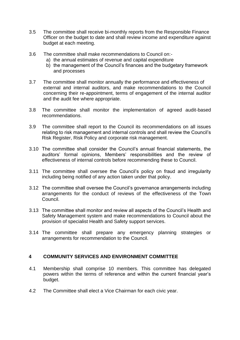- 3.5 The committee shall receive bi-monthly reports from the Responsible Finance Officer on the budget to date and shall review income and expenditure against budget at each meeting.
- 3.6 The committee shall make recommendations to Council on:
	- a) the annual estimates of revenue and capital expenditure
	- b) the management of the Council's finances and the budgetary framework and processes
- 3.7 The committee shall monitor annually the performance and effectiveness of external and internal auditors, and make recommendations to the Council concerning their re-appointment, terms of engagement of the internal auditor and the audit fee where appropriate.
- 3.8 The committee shall monitor the implementation of agreed audit-based recommendations.
- 3.9 The committee shall report to the Council its recommendations on all issues relating to risk management and internal controls and shall review the Council's Risk Register, Risk Policy and corporate risk management.
- 3.10 The committee shall consider the Council's annual financial statements, the auditors' formal opinions, Members' responsibilities and the review of effectiveness of internal controls before recommending these to Council.
- 3.11 The committee shall oversee the Council's policy on fraud and irregularity including being notified of any action taken under that policy.
- 3.12 The committee shall oversee the Council's governance arrangements including arrangements for the conduct of reviews of the effectiveness of the Town Council.
- 3.13 The committee shall monitor and review all aspects of the Council's Health and Safety Management system and make recommendations to Council about the provision of specialist Health and Safety support services.
- 3.14 The committee shall prepare any emergency planning strategies or arrangements for recommendation to the Council.

## **4 COMMUNITY SERVICES AND ENVIRONMENT COMMITTEE**

- 4.1 Membership shall comprise 10 members. This committee has delegated powers within the terms of reference and within the current financial year's budget.
- 4.2 The Committee shall elect a Vice Chairman for each civic year.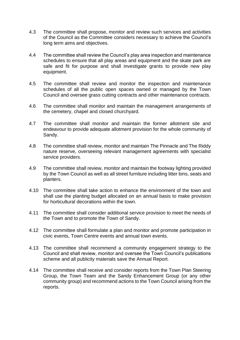- 4.3 The committee shall propose, monitor and review such services and activities of the Council as the Committee considers necessary to achieve the Council's long term aims and objectives.
- 4.4 The committee shall review the Council's play area inspection and maintenance schedules to ensure that all play areas and equipment and the skate park are safe and fit for purpose and shall investigate grants to provide new play equipment.
- 4.5 The committee shall review and monitor the inspection and maintenance schedules of all the public open spaces owned or managed by the Town Council and oversee grass cutting contracts and other maintenance contracts.
- 4.6 The committee shall monitor and maintain the management arrangements of the cemetery, chapel and closed churchyard.
- 4.7 The committee shall monitor and maintain the former allotment site and endeavour to provide adequate allotment provision for the whole community of Sandy.
- 4.8 The committee shall review, monitor and maintain The Pinnacle and The Riddy nature reserve, overseeing relevant management agreements with specialist service providers.
- 4.9 The committee shall review, monitor and maintain the footway lighting provided by the Town Council as well as all street furniture including litter bins, seats and planters.
- 4.10 The committee shall take action to enhance the environment of the town and shall use the planting budget allocated on an annual basis to make provision for horticultural decorations within the town.
- 4.11 The committee shall consider additional service provision to meet the needs of the Town and to promote the Town of Sandy.
- 4.12 The committee shall formulate a plan and monitor and promote participation in civic events, Town Centre events and annual town events.
- 4.13 The committee shall recommend a community engagement strategy to the Council and shall review, monitor and oversee the Town Council's publications scheme and all publicity materials save the Annual Report.
- 4.14 The committee shall receive and consider reports from the Town Plan Steering Group, the Town Team and the Sandy Enhancement Group (or any other community group) and recommend actions to the Town Council arising from the reports.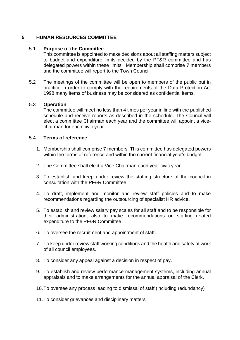## **5 HUMAN RESOURCES COMMITTEE**

#### 5.1 **Purpose of the Committee**

This committee is appointed to make decisions about all staffing matters subject to budget and expenditure limits decided by the PF&R committee and has delegated powers within these limits. Membership shall comprise 7 members and the committee will report to the Town Council.

5.2 The meetings of the committee will be open to members of the public but in practice in order to comply with the requirements of the Data Protection Act 1998 many items of business may be considered as confidential items.

#### 5.3 **Operation**

The committee will meet no less than 4 times per year in line with the published schedule and receive reports as described in the schedule. The Council will elect a committee Chairman each year and the committee will appoint a vicechairman for each civic year.

#### 5.4 **Terms of reference**

- 1. Membership shall comprise 7 members. This committee has delegated powers within the terms of reference and within the current financial year's budget.
- 2. The Committee shall elect a Vice Chairman each year civic year.
- 3. To establish and keep under review the staffing structure of the council in consultation with the PF&R Committee.
- 4. To draft, implement and monitor and review staff policies and to make recommendations regarding the outsourcing of specialist HR advice.
- 5. To establish and review salary pay scales for all staff and to be responsible for their administration; also to make recommendations on staffing related expenditure to the PF&R Committee.
- 6. To oversee the recruitment and appointment of staff.
- 7. To keep under review staff working conditions and the health and safety at work of all council employees.
- 8. To consider any appeal against a decision in respect of pay.
- 9. To establish and review performance management systems, including annual appraisals and to make arrangements for the annual appraisal of the Clerk.
- 10.To oversee any process leading to dismissal of staff (including redundancy)
- 11.To consider grievances and disciplinary matters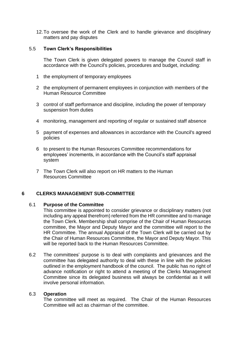12.To oversee the work of the Clerk and to handle grievance and disciplinary matters and pay disputes

### 5.5 **Town Clerk's Responsibilities**

The Town Clerk is given delegated powers to manage the Council staff in accordance with the Council's policies, procedures and budget, including:

- 1 the employment of temporary employees
- 2 the employment of permanent employees in conjunction with members of the Human Resource Committee
- 3 control of staff performance and discipline, including the power of temporary suspension from duties
- 4 monitoring, management and reporting of regular or sustained staff absence
- 5 payment of expenses and allowances in accordance with the Council's agreed policies
- 6 to present to the Human Resources Committee recommendations for employees' increments, in accordance with the Council's staff appraisal system
- 7 The Town Clerk will also report on HR matters to the Human Resources Committee

## **6 CLERKS MANAGEMENT SUB-COMMITTEE**

### 6.1 **Purpose of the Committee**

This committee is appointed to consider grievance or disciplinary matters (not including any appeal therefrom) referred from the HR committee and to manage the Town Clerk. Membership shall comprise of the Chair of Human Resources committee, the Mayor and Deputy Mayor and the committee will report to the HR Committee. The annual Appraisal of the Town Clerk will be carried out by the Chair of Human Resources Committee, the Mayor and Deputy Mayor. This will be reported back to the Human Resources Committee.

6.2 The committees' purpose is to deal with complaints and grievances and the committee has delegated authority to deal with these in line with the policies outlined in the employment handbook of the council. The public has no right of advance notification or right to attend a meeting of the Clerks Management Committee since its delegated business will always be confidential as it will involve personal information.

### 6.3 **Operation**

The committee will meet as required. The Chair of the Human Resources Committee will act as chairman of the committee.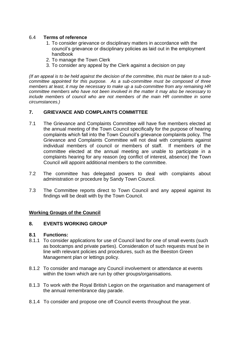## 6.4 **Terms of reference**

- 1. To consider grievance or disciplinary matters in accordance with the council's grievance or disciplinary policies as laid out in the employment handbook
- 2. To manage the Town Clerk
- 3. To consider any appeal by the Clerk against a decision on pay

*(If an appeal is to be held against the decision of the committee, this must be taken to a subcommittee appointed for this purpose. As a sub-committee must be composed of three members at least, it may be necessary to make up a sub-committee from any remaining HR committee members who have not been involved in the matter it may also be necessary to include members of council who are not members of the main HR committee in some circumstances.)*

## **7. GRIEVANCE AND COMPLAINTS COMMITTEE**

- 7.1 The Grievance and Complaints Committee will have five members elected at the annual meeting of the Town Council specifically for the purpose of hearing complaints which fall into the Town Council's grievance complaints policy. The Grievance and Complaints Committee will not deal with complaints against individual members of council or members of staff. If members of the committee elected at the annual meeting are unable to participate in a complaints hearing for any reason (eg conflict of interest, absence) the Town Council will appoint additional members to the committee.
- 7.2 The committee has delegated powers to deal with complaints about administration or procedure by Sandy Town Council.
- 7.3 The Committee reports direct to Town Council and any appeal against its findings will be dealt with by the Town Council.

### **Working Groups of the Council**

### **8. EVENTS WORKING GROUP**

### **8.1 Functions:**

- 8.1.1 To consider applications for use of Council land for one of small events (such as bootcamps and private parties). Consideration of such requests must be in line with relevant policies and procedures, such as the Beeston Green Management plan or lettings policy.
- 8.1.2 To consider and manage any Council involvement or attendance at events within the town which are run by other groups/organisations.
- 8.1.3 To work with the Royal British Legion on the organisation and management of the annual remembrance day parade.
- 8.1.4 To consider and propose one off Council events throughout the year.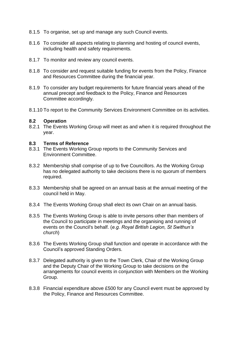- 8.1.5 To organise, set up and manage any such Council events.
- 8.1.6 To consider all aspects relating to planning and hosting of council events, including health and safety requirements.
- 8.1.7 To monitor and review any council events.
- 8.1.8 To consider and request suitable funding for events from the Policy, Finance and Resources Committee during the financial year.
- 8.1.9 To consider any budget requirements for future financial years ahead of the annual precept and feedback to the Policy, Finance and Resources Committee accordingly.
- 8.1.10 To report to the Community Services Environment Committee on its activities.

#### **8.2 Operation**

8.2.1 The Events Working Group will meet as and when it is required throughout the year.

#### **8.3 Terms of Reference**

- 8.3.1 The Events Working Group reports to the Community Services and Environment Committee.
- 8.3.2 Membership shall comprise of up to five Councillors. As the Working Group has no delegated authority to take decisions there is no quorum of members required.
- 8.3.3 Membership shall be agreed on an annual basis at the annual meeting of the council held in May.
- 8.3.4 The Events Working Group shall elect its own Chair on an annual basis.
- 8.3.5 The Events Working Group is able to invite persons other than members of the Council to participate in meetings and the organising and running of events on the Council's behalf. (*e.g. Royal British Legion, St Swithun's church*)
- 8.3.6 The Events Working Group shall function and operate in accordance with the Council's approved Standing Orders.
- 8.3.7 Delegated authority is given to the Town Clerk, Chair of the Working Group and the Deputy Chair of the Working Group to take decisions on the arrangements for council events in conjunction with Members on the Working Group.
- 8.3.8 Financial expenditure above £500 for any Council event must be approved by the Policy, Finance and Resources Committee.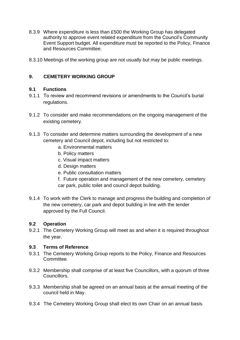- 8.3.9 Where expenditure is less than £500 the Working Group has delegated authority to approve event related expenditure from the Council's Community Event Support budget. All expenditure must be reported to the Policy, Finance and Resources Committee.
- 8.3.10 Meetings of the working group are not usually but may be public meetings.

## **9. CEMETERY WORKING GROUP**

## **9.1 Functions**

- 9.1.1 To review and recommend revisions or amendments to the Council's burial regulations.
- 9.1.2 To consider and make recommendations on the ongoing management of the existing cemetery.
- 9.1.3 To consider and determine matters surrounding the development of a new cemetery and Council depot, including but not restricted to:
	- a. Environmental matters
	- b. Policy matters
	- c. Visual impact matters
	- d. Design matters
	- e. Public consultation matters
	- f. Future operation and management of the new cemetery, cemetery car park, public toilet and council depot building.
- 9.1.4 To work with the Clerk to manage and progress the building and completion of the new cemetery, car park and depot building in line with the tender approved by the Full Council.

## **9.2 Operation**

9.2.1 The Cemetery Working Group will meet as and when it is required throughout the year.

### **9.3 Terms of Reference**

- 9.3.1 The Cemetery Working Group reports to the Policy, Finance and Resources Committee.
- 9.3.2 Membership shall comprise of at least five Councillors, with a quorum of three Councillors.
- 9.3.3 Membership shall be agreed on an annual basis at the annual meeting of the council held in May.
- 9.3.4 The Cemetery Working Group shall elect its own Chair on an annual basis.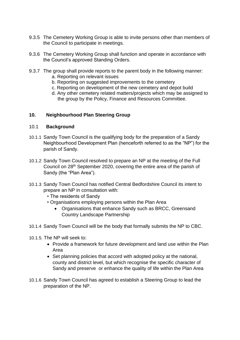- 9.3.5 The Cemetery Working Group is able to invite persons other than members of the Council to participate in meetings.
- 9.3.6 The Cemetery Working Group shall function and operate in accordance with the Council's approved Standing Orders.
- 9.3.7 The group shall provide reports to the parent body in the following manner: a. Reporting on relevant issues
	- b. Reporting on suggested improvements to the cemetery
	- c. Reporting on development of the new cemetery and depot build
	- d. Any other cemetery related matters/projects which may be assigned to the group by the Policy, Finance and Resources Committee.

### **10. Neighbourhood Plan Steering Group**

#### 10.1 **Background**

- 10.1.1 Sandy Town Council is the qualifying body for the preparation of a Sandy Neighbourhood Development Plan (henceforth referred to as the "NP") for the parish of Sandy.
- 10.1.2 Sandy Town Council resolved to prepare an NP at the meeting of the Full Council on 28th September 2020, covering the entire area of the parish of Sandy (the "Plan Area").
- 10.1.3 Sandy Town Council has notified Central Bedfordshire Council its intent to prepare an NP in consultation with:
	- The residents of Sandy
	- Organisations employing persons within the Plan Area
		- Organisations that enhance Sandy such as BRCC, Greensand Country Landscape Partnership
- 10.1.4 Sandy Town Council will be the body that formally submits the NP to CBC.
- 10.1.5. The NP will seek to:
	- Provide a framework for future development and land use within the Plan Area
	- Set planning policies that accord with adopted policy at the national, county and district level, but which recognise the specific character of Sandy and preserve or enhance the quality of life within the Plan Area
- 10.1.6 Sandy Town Council has agreed to establish a Steering Group to lead the preparation of the NP.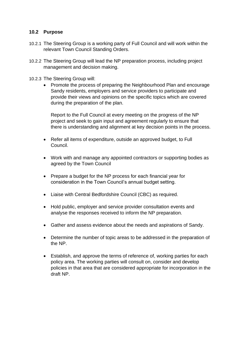## **10.2 Purpose**

- 10.2.1 The Steering Group is a working party of Full Council and will work within the relevant Town Council Standing Orders.
- 10.2.2 The Steering Group will lead the NP preparation process, including project management and decision making.
- 10.2.3 The Steering Group will:
	- Promote the process of preparing the Neighbourhood Plan and encourage Sandy residents, employers and service providers to participate and provide their views and opinions on the specific topics which are covered during the preparation of the plan.

Report to the Full Council at every meeting on the progress of the NP project and seek to gain input and agreement regularly to ensure that there is understanding and alignment at key decision points in the process.

- Refer all items of expenditure, outside an approved budget, to Full Council.
- Work with and manage any appointed contractors or supporting bodies as agreed by the Town Council
- Prepare a budget for the NP process for each financial year for consideration in the Town Council's annual budget setting.
- Liaise with Central Bedfordshire Council (CBC) as required.
- Hold public, employer and service provider consultation events and analyse the responses received to inform the NP preparation.
- Gather and assess evidence about the needs and aspirations of Sandy.
- Determine the number of topic areas to be addressed in the preparation of the NP.
- Establish, and approve the terms of reference of, working parties for each policy area. The working parties will consult on, consider and develop policies in that area that are considered appropriate for incorporation in the draft NP.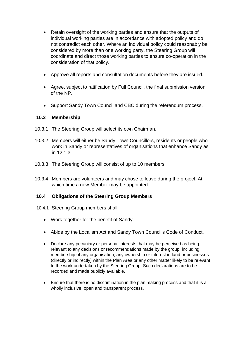- Retain oversight of the working parties and ensure that the outputs of individual working parties are in accordance with adopted policy and do not contradict each other. Where an individual policy could reasonably be considered by more than one working party, the Steering Group will coordinate and direct those working parties to ensure co-operation in the consideration of that policy.
- Approve all reports and consultation documents before they are issued.
- Agree, subject to ratification by Full Council, the final submission version of the NP.
- Support Sandy Town Council and CBC during the referendum process.

## **10.3 Membership**

- 10.3.1 The Steering Group will select its own Chairman.
- 10.3.2 Members will either be Sandy Town Councillors, residents or people who work in Sandy or representatives of organisations that enhance Sandy as in 12.1.3.
- 10.3.3 The Steering Group will consist of up to 10 members.
- 10.3.4 Members are volunteers and may chose to leave during the project. At which time a new Member may be appointed.

## **10.4 Obligations of the Steering Group Members**

- 10.4.1 Steering Group members shall:
	- Work together for the benefit of Sandy.
	- Abide by the Localism Act and Sandy Town Council's Code of Conduct.
	- Declare any pecuniary or personal interests that may be perceived as being relevant to any decisions or recommendations made by the group, including membership of any organisation, any ownership or interest in land or businesses (directly or indirectly) within the Plan Area or any other matter likely to be relevant to the work undertaken by the Steering Group. Such declarations are to be recorded and made publicly available.
	- Ensure that there is no discrimination in the plan making process and that it is a wholly inclusive, open and transparent process.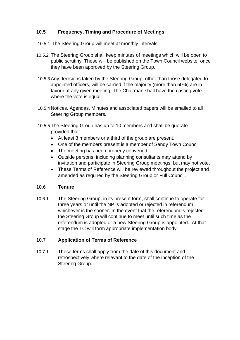## **10.5 Frequency, Timing and Procedure of Meetings**

- 10.5.1 The Steering Group will meet at monthly intervals.
- 10.5.2 The Steering Group shall keep minutes of meetings which will be open to public scrutiny. These will be published on the Town Council website, once they have been approved by the Steering Group.
- 10.5.3Any decisions taken by the Steering Group, other than those delegated to appointed officers, will be carried if the majority (more than 50%) are in favour at any given meeting. The Chairman shall have the casting vote where the vote is equal.
- 10.5.4 Notices, Agendas, Minutes and associated papers will be emailed to all Steering Group members.
- 10.5.5 The Steering Group has up to 10 members and shall be quorate provided that:
	- At least 3 members or a third of the group are present.
	- One of the members present is a member of Sandy Town Council
	- The meeting has been properly convened.
	- Outside persons, including planning consultants may attend by invitation and participate in Steering Group meetings, but may not vote.
	- These Terms of Reference will be reviewed throughout the project and amended as required by the Steering Group or Full Council.

## 10.6 **Tenure**

10.6.1 The Steering Group, in its present form, shall continue to operate for three years or until the NP is adopted or rejected in referendum, whichever is the sooner. In the event that the referendum is rejected the Steering Group will continue to meet until such time as the referendum is adopted or a new Steering Group is appointed. At that stage the TC will form appropriate implementation body.

## 10.7 **Application of Terms of Reference**

10.7.1 These terms shall apply from the date of this document and retrospectively where relevant to the date of the inception of the Steering Group.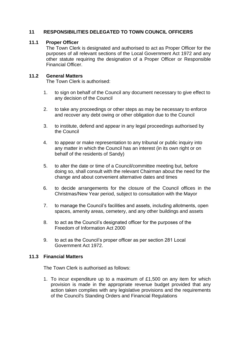## **11 RESPONSIBILITIES DELEGATED TO TOWN COUNCIL OFFICERS**

### **11.1 Proper Officer**

The Town Clerk is designated and authorised to act as Proper Officer for the purposes of all relevant sections of the Local Government Act 1972 and any other statute requiring the designation of a Proper Officer or Responsible Financial Officer.

#### **11.2 General Matters**

The Town Clerk is authorised:

- 1. to sign on behalf of the Council any document necessary to give effect to any decision of the Council
- 2. to take any proceedings or other steps as may be necessary to enforce and recover any debt owing or other obligation due to the Council
- 3. to institute, defend and appear in any legal proceedings authorised by the Council
- 4. to appear or make representation to any tribunal or public inquiry into any matter in which the Council has an interest (in its own right or on behalf of the residents of Sandy)
- 5. to alter the date or time of a Council/committee meeting but, before doing so, shall consult with the relevant Chairman about the need for the change and about convenient alternative dates and times
- 6. to decide arrangements for the closure of the Council offices in the Christmas/New Year period, subject to consultation with the Mayor
- 7. to manage the Council's facilities and assets, including allotments, open spaces, amenity areas, cemetery, and any other buildings and assets
- 8. to act as the Council's designated officer for the purposes of the Freedom of Information Act 2000
- 9. to act as the Council's proper officer as per section 281 Local Government Act 1972.

#### **11.3 Financial Matters**

The Town Clerk is authorised as follows:

1. To incur expenditure up to a maximum of £1,500 on any item for which provision is made in the appropriate revenue budget provided that any action taken complies with any legislative provisions and the requirements of the Council's Standing Orders and Financial Regulations